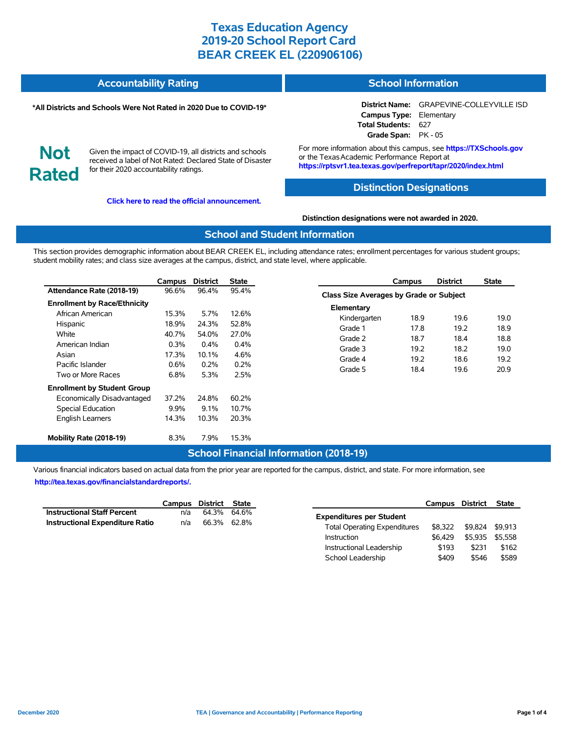| <b>Accountability Rating</b> | <b>School Information</b> |
|------------------------------|---------------------------|
|                              |                           |

#### **\*All Districts and Schools Were Not Rated in 2020 Due to COVID-19\***

**District Name:** GRAPEVINE-COLLEYVILLE ISD **Campus Type:** Elementary **Total Students:** 627 **Grade Span:** PK - 05

**Not Rated**

Given the impact of COVID-19, all districts and schools received a label of Not Rated: Declared State of Disaster for their 2020 accountability ratings.

**[Click here to read the official announcement.](https://tea.texas.gov/about-tea/news-and-multimedia/correspondence/taa-letters/every-student-succeeds-act-essa-waiver-approval-2020-state-academic-accountability)**

For more information about this campus, see **https://TXSchools.gov** or the Texas Academic Performance Report at **https://rptsvr1.tea.texas.gov/perfreport/tapr/2020/index.html**

#### **Distinction Designations**

#### **Distinction designations were not awarded in 2020.**

#### **School and Student Information**

This section provides demographic information about BEAR CREEK EL, including attendance rates; enrollment percentages for various student groups; student mobility rates; and class size averages at the campus, district, and state level, where applicable.

|                                     | Campus  | <b>District</b> | <b>State</b> |
|-------------------------------------|---------|-----------------|--------------|
| Attendance Rate (2018-19)           | 96.6%   | 96.4%           | 95.4%        |
| <b>Enrollment by Race/Ethnicity</b> |         |                 |              |
| African American                    | 15.3%   | 5.7%            | 12.6%        |
| Hispanic                            | 18.9%   | 24.3%           | 52.8%        |
| White                               | 40.7%   | 54.0%           | 27.0%        |
| American Indian                     | 0.3%    | $0.4\%$         | 0.4%         |
| Asian                               | 17.3%   | 10.1%           | 4.6%         |
| Pacific Islander                    | 0.6%    | $0.2\%$         | 0.2%         |
| Two or More Races                   | 6.8%    | 5.3%            | 2.5%         |
| <b>Enrollment by Student Group</b>  |         |                 |              |
| Economically Disadvantaged          | 37.2%   | 24.8%           | 60.2%        |
| <b>Special Education</b>            | $9.9\%$ | $9.1\%$         | 10.7%        |
| <b>English Learners</b>             | 14.3%   | 10.3%           | 20.3%        |
| Mobility Rate (2018-19)             | 8.3%    | 7.9%            | 15.3%        |

| Campus                                         | <b>District</b> | <b>State</b> |  |  |  |  |  |  |  |
|------------------------------------------------|-----------------|--------------|--|--|--|--|--|--|--|
| <b>Class Size Averages by Grade or Subject</b> |                 |              |  |  |  |  |  |  |  |
| Elementary                                     |                 |              |  |  |  |  |  |  |  |
| 18.9                                           | 19.6            | 19.0         |  |  |  |  |  |  |  |
| 17.8                                           | 19.2            | 18.9         |  |  |  |  |  |  |  |
| 18.7                                           | 18.4            | 18.8         |  |  |  |  |  |  |  |
| 19.2                                           | 18.2            | 19.0         |  |  |  |  |  |  |  |
| 19.2                                           | 18.6            | 19.2         |  |  |  |  |  |  |  |
| 18.4                                           | 19.6            | 20.9         |  |  |  |  |  |  |  |
|                                                |                 |              |  |  |  |  |  |  |  |

## **School Financial Information (2018-19)**

Various financial indicators based on actual data from the prior year are reported for the campus, district, and state. For more information, see **[http://tea.texas.gov/financialstandardreports/.](http://tea.texas.gov/financialstandardreports/)**

|                                        | Campus District State |             |  |
|----------------------------------------|-----------------------|-------------|--|
| <b>Instructional Staff Percent</b>     | n/a                   | 64.3% 64.6% |  |
| <b>Instructional Expenditure Ratio</b> | n/a                   | 66.3% 62.8% |  |

|                                     | Campus District |         | <b>State</b> |
|-------------------------------------|-----------------|---------|--------------|
| <b>Expenditures per Student</b>     |                 |         |              |
| <b>Total Operating Expenditures</b> | \$8.322         | \$9.824 | \$9.913      |
| Instruction                         | \$6.429         | \$5.935 | \$5.558      |
| Instructional Leadership            | \$193           | \$231   | \$162        |
| School Leadership                   | \$409           | \$546   | \$589        |

Ĭ.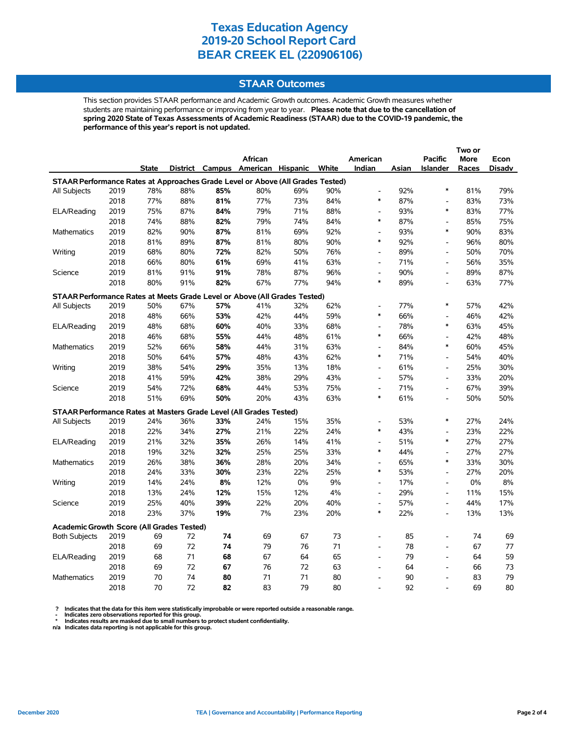## **STAAR Outcomes**

This section provides STAAR performance and Academic Growth outcomes. Academic Growth measures whether students are maintaining performance or improving from year to year. **Please note that due to the cancellation of spring 2020 State of Texas Assessments of Academic Readiness (STAAR) due to the COVID-19 pandemic, the performance of this year's report is not updated.**

|                                                                                |      |       |     |     | African                           |     |       | American                     |       | <b>Pacific</b>               | <b>More</b> | Econ   |
|--------------------------------------------------------------------------------|------|-------|-----|-----|-----------------------------------|-----|-------|------------------------------|-------|------------------------------|-------------|--------|
|                                                                                |      | State |     |     | District Campus American Hispanic |     | White | Indian                       | Asian | <b>Islander</b>              | Races       | Disadv |
| STAAR Performance Rates at Approaches Grade Level or Above (All Grades Tested) |      |       |     |     |                                   |     |       |                              |       |                              |             |        |
| All Subjects                                                                   | 2019 | 78%   | 88% | 85% | 80%                               | 69% | 90%   | $\overline{a}$               | 92%   | $\ast$                       | 81%         | 79%    |
|                                                                                | 2018 | 77%   | 88% | 81% | 77%                               | 73% | 84%   | $\ast$                       | 87%   | $\frac{1}{2}$                | 83%         | 73%    |
| ELA/Reading                                                                    | 2019 | 75%   | 87% | 84% | 79%                               | 71% | 88%   | $\overline{a}$               | 93%   | $\ast$                       | 83%         | 77%    |
|                                                                                | 2018 | 74%   | 88% | 82% | 79%                               | 74% | 84%   | $\ast$                       | 87%   | $\frac{1}{2}$                | 85%         | 75%    |
| Mathematics                                                                    | 2019 | 82%   | 90% | 87% | 81%                               | 69% | 92%   | $\blacksquare$               | 93%   | $\ast$                       | 90%         | 83%    |
|                                                                                | 2018 | 81%   | 89% | 87% | 81%                               | 80% | 90%   | $\ast$                       | 92%   | $\frac{1}{2}$                | 96%         | 80%    |
| Writing                                                                        | 2019 | 68%   | 80% | 72% | 82%                               | 50% | 76%   | $\overline{\phantom{a}}$     | 89%   | $\frac{1}{2}$                | 50%         | 70%    |
|                                                                                | 2018 | 66%   | 80% | 61% | 69%                               | 41% | 63%   | $\overline{\phantom{a}}$     | 71%   | $\frac{1}{2}$                | 56%         | 35%    |
| Science                                                                        | 2019 | 81%   | 91% | 91% | 78%                               | 87% | 96%   | $\qquad \qquad \blacksquare$ | 90%   | $\qquad \qquad \blacksquare$ | 89%         | 87%    |
|                                                                                | 2018 | 80%   | 91% | 82% | 67%                               | 77% | 94%   | $\ast$                       | 89%   | $\overline{a}$               | 63%         | 77%    |
| STAAR Performance Rates at Meets Grade Level or Above (All Grades Tested)      |      |       |     |     |                                   |     |       |                              |       |                              |             |        |
| All Subjects                                                                   | 2019 | 50%   | 67% | 57% | 41%                               | 32% | 62%   | $\overline{a}$               | 77%   | $\ast$                       | 57%         | 42%    |
|                                                                                | 2018 | 48%   | 66% | 53% | 42%                               | 44% | 59%   | $\ast$                       | 66%   | $\frac{1}{2}$                | 46%         | 42%    |
| ELA/Reading                                                                    | 2019 | 48%   | 68% | 60% | 40%                               | 33% | 68%   | $\overline{\phantom{a}}$     | 78%   | $\ast$                       | 63%         | 45%    |
|                                                                                | 2018 | 46%   | 68% | 55% | 44%                               | 48% | 61%   | $\ast$                       | 66%   | $\qquad \qquad \blacksquare$ | 42%         | 48%    |
| Mathematics                                                                    | 2019 | 52%   | 66% | 58% | 44%                               | 31% | 63%   | $\overline{a}$               | 84%   | $\ast$                       | 60%         | 45%    |
|                                                                                | 2018 | 50%   | 64% | 57% | 48%                               | 43% | 62%   | $\ast$                       | 71%   | $\qquad \qquad \blacksquare$ | 54%         | 40%    |
| Writing                                                                        | 2019 | 38%   | 54% | 29% | 35%                               | 13% | 18%   | $\blacksquare$               | 61%   | $\qquad \qquad \blacksquare$ | 25%         | 30%    |
|                                                                                | 2018 | 41%   | 59% | 42% | 38%                               | 29% | 43%   | $\overline{a}$               | 57%   | $\overline{a}$               | 33%         | 20%    |
| Science                                                                        | 2019 | 54%   | 72% | 68% | 44%                               | 53% | 75%   | $\overline{a}$               | 71%   | $\frac{1}{2}$                | 67%         | 39%    |
|                                                                                | 2018 | 51%   | 69% | 50% | 20%                               | 43% | 63%   | $\ast$                       | 61%   | $\qquad \qquad \blacksquare$ | 50%         | 50%    |
| STAAR Performance Rates at Masters Grade Level (All Grades Tested)             |      |       |     |     |                                   |     |       |                              |       |                              |             |        |
| All Subjects                                                                   | 2019 | 24%   | 36% | 33% | 24%                               | 15% | 35%   | $\overline{\phantom{a}}$     | 53%   | $\ast$                       | 27%         | 24%    |
|                                                                                | 2018 | 22%   | 34% | 27% | 21%                               | 22% | 24%   | $\ast$                       | 43%   | $\overline{a}$               | 23%         | 22%    |
| ELA/Reading                                                                    | 2019 | 21%   | 32% | 35% | 26%                               | 14% | 41%   | $\overline{a}$               | 51%   | $\ast$                       | 27%         | 27%    |
|                                                                                | 2018 | 19%   | 32% | 32% | 25%                               | 25% | 33%   | $\ast$                       | 44%   | $\frac{1}{2}$                | 27%         | 27%    |
| Mathematics                                                                    | 2019 | 26%   | 38% | 36% | 28%                               | 20% | 34%   | $\overline{a}$               | 65%   | $\ast$                       | 33%         | 30%    |
|                                                                                | 2018 | 24%   | 33% | 30% | 23%                               | 22% | 25%   | $\ast$                       | 53%   | L,                           | 27%         | 20%    |
| Writing                                                                        | 2019 | 14%   | 24% | 8%  | 12%                               | 0%  | 9%    | $\overline{\phantom{a}}$     | 17%   | $\overline{\phantom{a}}$     | 0%          | 8%     |
|                                                                                | 2018 | 13%   | 24% | 12% | 15%                               | 12% | 4%    | $\overline{\phantom{a}}$     | 29%   | $\qquad \qquad -$            | 11%         | 15%    |
| Science                                                                        | 2019 | 25%   | 40% | 39% | 22%                               | 20% | 40%   | $\overline{a}$               | 57%   | L,                           | 44%         | 17%    |
|                                                                                | 2018 | 23%   | 37% | 19% | 7%                                | 23% | 20%   | $\ast$                       | 22%   | $\overline{\phantom{a}}$     | 13%         | 13%    |
|                                                                                |      |       |     |     |                                   |     |       |                              |       |                              |             |        |
| <b>Academic Growth Score (All Grades Tested)</b>                               |      |       |     |     |                                   |     |       |                              |       |                              |             |        |
| <b>Both Subjects</b>                                                           | 2019 | 69    | 72  | 74  | 69                                | 67  | 73    | $\overline{a}$               | 85    | L,                           | 74          | 69     |
|                                                                                | 2018 | 69    | 72  | 74  | 79                                | 76  | 71    | $\overline{\phantom{a}}$     | 78    | $\qquad \qquad \blacksquare$ | 67          | 77     |
| ELA/Reading                                                                    | 2019 | 68    | 71  | 68  | 67                                | 64  | 65    | $\overline{a}$               | 79    | $\overline{a}$               | 64          | 59     |
|                                                                                | 2018 | 69    | 72  | 67  | 76                                | 72  | 63    | $\overline{a}$               | 64    | $\overline{a}$               | 66          | 73     |
| <b>Mathematics</b>                                                             | 2019 | 70    | 74  | 80  | 71                                | 71  | 80    | $\overline{a}$               | 90    | $\overline{a}$               | 83          | 79     |
|                                                                                | 2018 | 70    | 72  | 82  | 83                                | 79  | 80    |                              | 92    |                              | 69          | 80     |

? Indicates that the data for this item were statistically improbable or were reported outside a reasonable range.<br>- Indicates zero observations reported for this group.<br>\* Indicates results are masked due to small numbers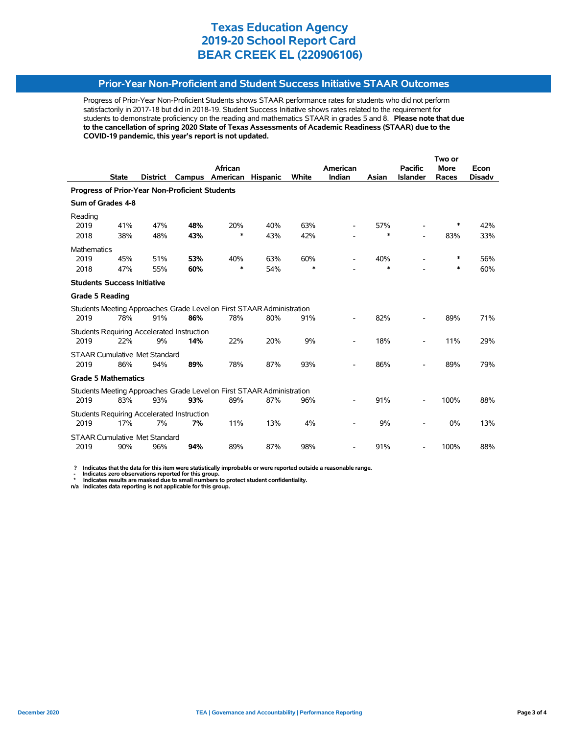## **Prior-Year Non-Proficient and Student Success Initiative STAAR Outcomes**

Progress of Prior-Year Non-Proficient Students shows STAAR performance rates for students who did not perform satisfactorily in 2017-18 but did in 2018-19. Student Success Initiative shows rates related to the requirement for students to demonstrate proficiency on the reading and mathematics STAAR in grades 5 and 8. **Please note that due to the cancellation of spring 2020 State of Texas Assessments of Academic Readiness (STAAR) due to the COVID-19 pandemic, this year's report is not updated.**

|                                                       |              |                                      |                                            |                                                                       |                 |              |                          |               |                          | Two or      |               |  |
|-------------------------------------------------------|--------------|--------------------------------------|--------------------------------------------|-----------------------------------------------------------------------|-----------------|--------------|--------------------------|---------------|--------------------------|-------------|---------------|--|
|                                                       |              |                                      |                                            | African                                                               |                 |              | American                 |               | <b>Pacific</b>           | <b>More</b> | Econ          |  |
|                                                       | <b>State</b> | <b>District</b>                      | Campus                                     | American                                                              | <b>Hispanic</b> | <b>White</b> | Indian                   | Asian         | <b>Islander</b>          | Races       | <b>Disadv</b> |  |
| <b>Progress of Prior-Year Non-Proficient Students</b> |              |                                      |                                            |                                                                       |                 |              |                          |               |                          |             |               |  |
| Sum of Grades 4-8                                     |              |                                      |                                            |                                                                       |                 |              |                          |               |                          |             |               |  |
| Reading                                               |              |                                      |                                            |                                                                       |                 |              |                          |               |                          | *           |               |  |
| 2019<br>2018                                          | 41%<br>38%   | 47%<br>48%                           | 48%<br>43%                                 | 20%<br>*                                                              | 40%<br>43%      | 63%<br>42%   |                          | 57%<br>$\ast$ | $\overline{\phantom{a}}$ | 83%         | 42%<br>33%    |  |
|                                                       |              |                                      |                                            |                                                                       |                 |              |                          |               |                          |             |               |  |
| <b>Mathematics</b><br>2019                            | 45%          | 51%                                  | 53%                                        | 40%                                                                   | 63%             | 60%          |                          | 40%           |                          | ∗           | 56%           |  |
| 2018                                                  | 47%          | 55%                                  | 60%                                        | $\ast$                                                                | 54%             | $\ast$       |                          | $\ast$        |                          | ∗           | 60%           |  |
| <b>Students Success Initiative</b>                    |              |                                      |                                            |                                                                       |                 |              |                          |               |                          |             |               |  |
| <b>Grade 5 Reading</b>                                |              |                                      |                                            |                                                                       |                 |              |                          |               |                          |             |               |  |
|                                                       |              |                                      |                                            | Students Meeting Approaches Grade Level on First STAAR Administration |                 |              |                          |               |                          |             |               |  |
| 2019                                                  | 78%          | 91%                                  | 86%                                        | 78%                                                                   | 80%             | 91%          |                          | 82%           |                          | 89%         | 71%           |  |
|                                                       |              |                                      | Students Requiring Accelerated Instruction |                                                                       |                 |              |                          |               |                          |             |               |  |
| 2019                                                  | 22%          | 9%                                   | 14%                                        | 22%                                                                   | 20%             | 9%           |                          | 18%           |                          | 11%         | 29%           |  |
|                                                       |              | <b>STAAR Cumulative Met Standard</b> |                                            |                                                                       |                 |              |                          |               |                          |             |               |  |
| 2019                                                  | 86%          | 94%                                  | 89%                                        | 78%                                                                   | 87%             | 93%          |                          | 86%           |                          | 89%         | 79%           |  |
| <b>Grade 5 Mathematics</b>                            |              |                                      |                                            |                                                                       |                 |              |                          |               |                          |             |               |  |
|                                                       |              |                                      |                                            | Students Meeting Approaches Grade Level on First STAAR Administration |                 |              |                          |               |                          |             |               |  |
| 2019                                                  | 83%          | 93%                                  | 93%                                        | 89%                                                                   | 87%             | 96%          |                          | 91%           |                          | 100%        | 88%           |  |
|                                                       |              |                                      | Students Requiring Accelerated Instruction |                                                                       |                 |              |                          |               |                          |             |               |  |
| 2019                                                  | 17%          | 7%                                   | 7%                                         | 11%                                                                   | 13%             | 4%           |                          | 9%            |                          | 0%          | 13%           |  |
|                                                       |              | <b>STAAR Cumulative Met Standard</b> |                                            |                                                                       |                 |              |                          |               |                          |             |               |  |
| 2019                                                  | 90%          | 96%                                  | 94%                                        | 89%                                                                   | 87%             | 98%          | $\overline{\phantom{a}}$ | 91%           | $\overline{\phantom{a}}$ | 100%        | 88%           |  |

 **? Indicates that the data for this item were statistically improbable or were reported outside a reasonable range.**

 **- Indicates zero observations reported for this group. \* Indicates results are masked due to small numbers to protect student confidentiality.**

**n/a Indicates data reporting is not applicable for this group.**